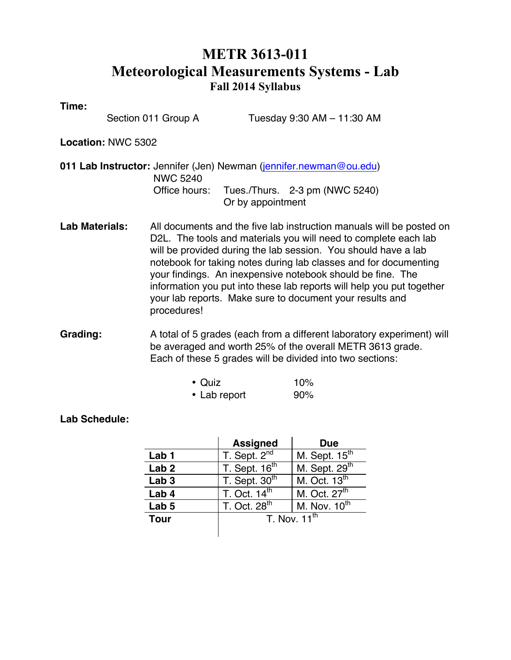# **METR 3613-011 Meteorological Measurements Systems - Lab Fall 2014 Syllabus**

**Time:** 

Section 011 Group A Tuesday 9:30 AM – 11:30 AM

**Location:** NWC 5302

**011 Lab Instructor:** Jennifer (Jen) Newman (jennifer.newman@ou.edu) NWC 5240 Office hours: Tues./Thurs. 2-3 pm (NWC 5240) Or by appointment

**Lab Materials:** All documents and the five lab instruction manuals will be posted on D2L. The tools and materials you will need to complete each lab will be provided during the lab session. You should have a lab notebook for taking notes during lab classes and for documenting your findings. An inexpensive notebook should be fine. The information you put into these lab reports will help you put together your lab reports. Make sure to document your results and procedures!

**Grading:** A total of 5 grades (each from a different laboratory experiment) will be averaged and worth 25% of the overall METR 3613 grade. Each of these 5 grades will be divided into two sections:

| $\bullet$ Quiz | 10% |
|----------------|-----|
| • Lab report   | 90% |

## **Lab Schedule:**

|                  | <b>Assigned</b>          | <b>Due</b>                |
|------------------|--------------------------|---------------------------|
| Lab 1            | T. Sept. 2 <sup>nd</sup> | M. Sept. 15 <sup>th</sup> |
| Lab <sub>2</sub> | T. Sept. $16th$          | M. Sept. 29 <sup>th</sup> |
| Lab <sub>3</sub> | T. Sept. $30th$          | M. Oct. $13th$            |
| Lab 4            | T. Oct. $14th$           | M. Oct. 27 <sup>th</sup>  |
| Lab <sub>5</sub> | T. Oct. 28 <sup>th</sup> | M. Nov. $10^{th}$         |
| <b>Tour</b>      | T. Nov. $11^{th}$        |                           |
|                  |                          |                           |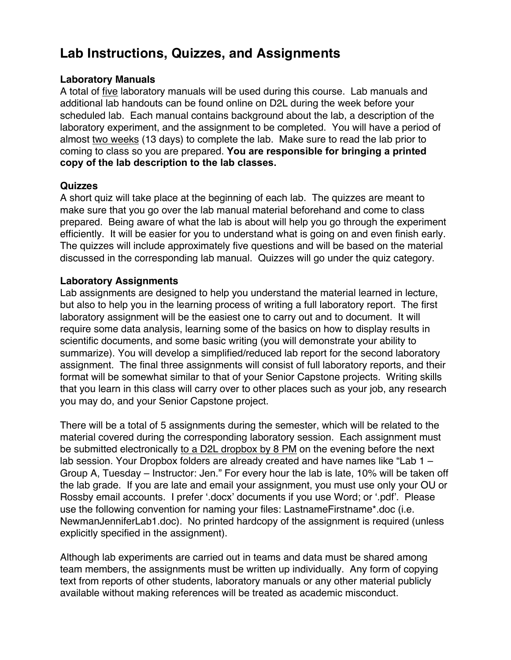# **Lab Instructions, Quizzes, and Assignments**

## **Laboratory Manuals**

A total of five laboratory manuals will be used during this course. Lab manuals and additional lab handouts can be found online on D2L during the week before your scheduled lab. Each manual contains background about the lab, a description of the laboratory experiment, and the assignment to be completed. You will have a period of almost two weeks (13 days) to complete the lab. Make sure to read the lab prior to coming to class so you are prepared. **You are responsible for bringing a printed copy of the lab description to the lab classes.**

### **Quizzes**

A short quiz will take place at the beginning of each lab. The quizzes are meant to make sure that you go over the lab manual material beforehand and come to class prepared. Being aware of what the lab is about will help you go through the experiment efficiently. It will be easier for you to understand what is going on and even finish early. The quizzes will include approximately five questions and will be based on the material discussed in the corresponding lab manual. Quizzes will go under the quiz category.

## **Laboratory Assignments**

Lab assignments are designed to help you understand the material learned in lecture, but also to help you in the learning process of writing a full laboratory report. The first laboratory assignment will be the easiest one to carry out and to document. It will require some data analysis, learning some of the basics on how to display results in scientific documents, and some basic writing (you will demonstrate your ability to summarize). You will develop a simplified/reduced lab report for the second laboratory assignment. The final three assignments will consist of full laboratory reports, and their format will be somewhat similar to that of your Senior Capstone projects. Writing skills that you learn in this class will carry over to other places such as your job, any research you may do, and your Senior Capstone project.

There will be a total of 5 assignments during the semester, which will be related to the material covered during the corresponding laboratory session. Each assignment must be submitted electronically to a D2L dropbox by 8 PM on the evening before the next lab session. Your Dropbox folders are already created and have names like "Lab 1 – Group A, Tuesday – Instructor: Jen." For every hour the lab is late, 10% will be taken off the lab grade. If you are late and email your assignment, you must use only your OU or Rossby email accounts. I prefer '.docx' documents if you use Word; or '.pdf'. Please use the following convention for naming your files: LastnameFirstname\*.doc (i.e. NewmanJenniferLab1.doc). No printed hardcopy of the assignment is required (unless explicitly specified in the assignment).

Although lab experiments are carried out in teams and data must be shared among team members, the assignments must be written up individually. Any form of copying text from reports of other students, laboratory manuals or any other material publicly available without making references will be treated as academic misconduct.